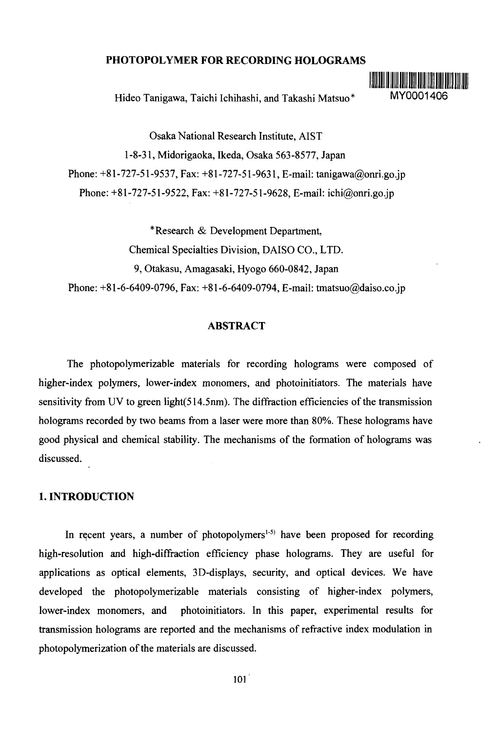## **PHOTOPOLYMER FOR RECORDING HOLOGRAMS**

Hideo Tanigawa, Taichi Ichihashi, and Takashi Matsuo\* MY0001406



Osaka National Research Institute, AIST 1-8-31, Midorigaoka, Ikeda, Osaka 563-8577, Japan Phone: +81-727-51-9537, Fax: +81-727-51-9631, E-mail: tanigawa@onri.go.jp Phone: +81-727-51-9522, Fax: +81-727-51-9628, E-mail: ichi@onri.go.jp

\* Research & Development Department, Chemical Specialties Division, DAISO CO., LTD. 9, Otakasu, Amagasaki, Hyogo 660-0842, Japan Phone: +81-6-6409-0796, Fax: +81-6-6409-0794, E-mail: tmatsuo@daiso.co.jp

# **ABSTRACT**

The photopolymerizable materials for recording holograms were composed of higher-index polymers, lower-index monomers, and photoinitiators. The materials have sensitivity from UV to green light(514.5nm). The diffraction efficiencies of the transmission holograms recorded by two beams from a laser were more than 80%. These holograms have good physical and chemical stability. The mechanisms of the formation of holograms was discussed.

#### **1. INTRODUCTION**

In recent years, a number of photopolymers<sup>1-5)</sup> have been proposed for recording high-resolution and high-diffraction efficiency phase holograms. They are useful for applications as optical elements, 3D-displays, security, and optical devices. We have developed the photopolymerizable materials consisting of higher-index polymers, lower-index monomers, and photoinitiators. In this paper, experimental results for transmission holograms are reported and the mechanisms of refractive index modulation in photopolymerization of the materials are discussed.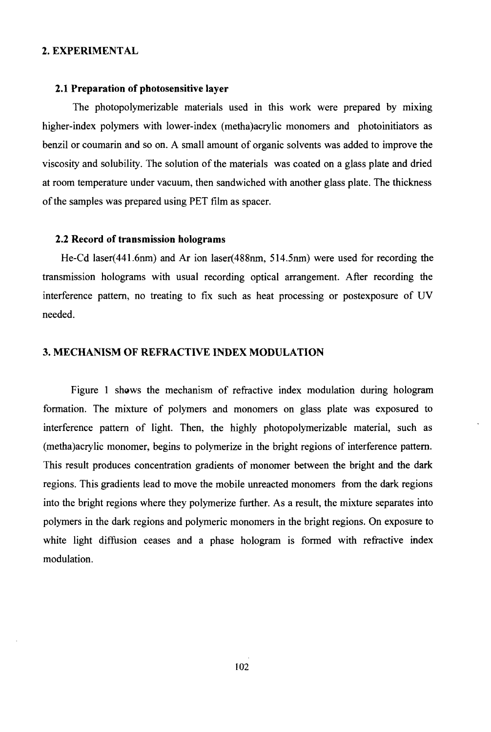### **2. EXPERIMENTAL**

### **2.1 Preparation of photosensitive layer**

The photopolymerizable materials used in this work were prepared by mixing higher-index polymers with lower-index (metha)acrylic monomers and photoinitiators as benzil or coumarin and so on. A small amount of organic solvents was added to improve the viscosity and solubility. The solution of the materials was coated on a glass plate and dried at room temperature under vacuum, then sandwiched with another glass plate. The thickness of the samples was prepared using PET film as spacer.

#### **2.2 Record of transmission holograms**

He-Cd laser(441.6nm) and Ar ion laser(488nm, 514.5nm) were used for recording the transmission holograms with usual recording optical arrangement. After recording the interference pattern, no treating to fix such as heat processing or postexposure of UV needed.

# **3. MECHANISM OF REFRACTIVE INDEX MODULATION**

Figure 1 shows the mechanism of refractive index modulation during hologram formation. The mixture of polymers and monomers on glass plate was exposured to interference pattern of light. Then, the highly photopolymerizable material, such as (metha)acrylic monomer, begins to polymerize in the bright regions of interference pattern. This result produces concentration gradients of monomer between the bright and the dark regions. This gradients lead to move the mobile unreacted monomers from the dark regions into the bright regions where they polymerize further. As a result, the mixture separates into polymers in the dark regions and polymeric monomers in the bright regions. On exposure to white light diffusion ceases and a phase hologram is formed with refractive index modulation.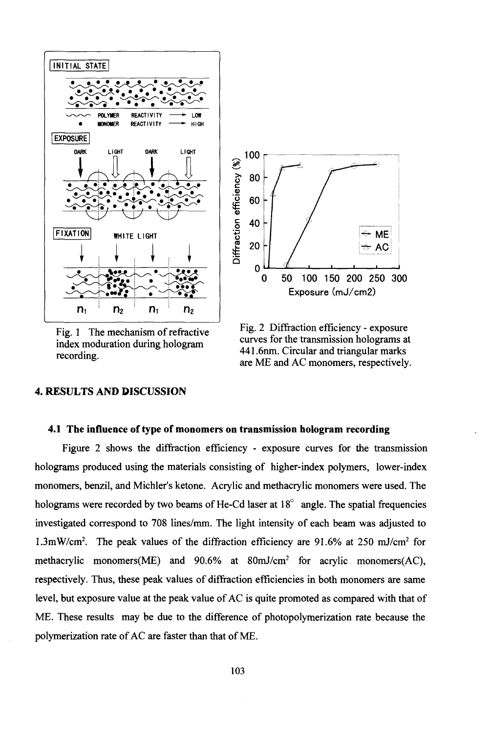

Fig. 1 The mechanism of refractive index moduration during hologram recording.



Fig. 2 Diffraction efficiency - exposure curves for the transmission holograms at 441.6nm. Circular and triangular marks are ME and AC monomers, respectively.

### **4. RESULTS AND DISCUSSION**

### **4.1 The influence of type of monomers on transmission hologram recording**

Figure 2 shows the diffraction efficiency - exposure curves for the transmission holograms produced using the materials consisting of higher-index polymers, lower-index monomers, benzil, and Michler's ketone. Acrylic and methacrylic monomers were used. The holograms were recorded by two beams of He-Cd laser at 18<sup>°</sup> angle. The spatial frequencies investigated correspond to 708 lines/mm. The light intensity of each beam was adjusted to 1.3mW/cm<sup>2</sup>. The peak values of the diffraction efficiency are 91.6% at 250 mJ/cm<sup>2</sup> for methacrylic monomers(ME) and 90.6% at 80mJ/cm<sup>2</sup> for acrylic monomers(AC), respectively. Thus, these peak values of diffraction efficiencies in both monomers are same level, but exposure value at the peak value of AC is quite promoted as compared with that of ME. These results may be due to the difference of photopolymerization rate because the polymerization rate of AC are faster than that of ME.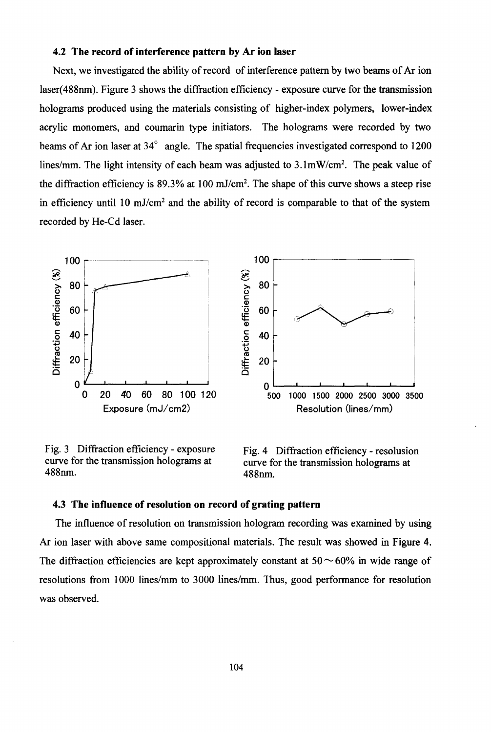#### 4.2 The record of interference pattern by Ar ion laser

Next, we investigated the ability of record of interference pattern by two beams of Ar ion laser(488nm). Figure 3 shows the diffraction efficiency - exposure curve for the transmission holograms produced using the materials consisting of higher-index polymers, lower-index acrylic monomers, and coumarin type initiators. The holograms were recorded by two beams of Ar ion laser at 34<sup>°</sup> angle. The spatial frequencies investigated correspond to 1200 lines/mm. The light intensity of each beam was adjusted to  $3.1 \text{mW/cm}^2$ . The peak value of the diffraction efficiency is 89.3% at 100 mJ/cm<sup>2</sup>. The shape of this curve shows a steep rise in efficiency until 10 mJ/cm<sup>2</sup> and the ability of record is comparable to that of the system recorded by He-Cd laser.



Fig. 3 Diffraction efficiency - exposure curve for the transmission holograms at 488nm.



Fig. 4 Diffraction efficiency - resolusion curve for the transmission holograms at 488nm.

#### 4.3 The influence of resolution on record of grating pattern

The influence of resolution on transmission hologram recording was examined by using Ar ion laser with above same compositional materials. The result was showed in Figure 4. The diffraction efficiencies are kept approximately constant at  $50 \sim 60\%$  in wide range of resolutions from 1000 lines/mm to 3000 lines/mm. Thus, good performance for resolution was observed.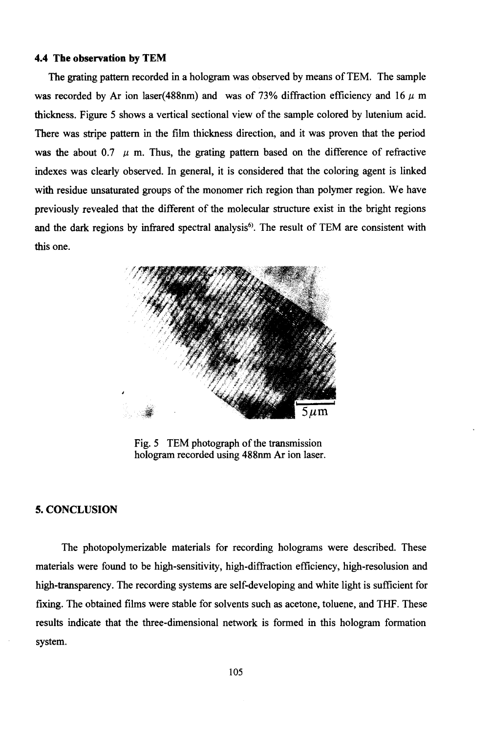#### **4.4 The observation by TEM**

The grating pattern recorded in a hologram was observed by means of TEM. The sample was recorded by Ar ion laser(488nm) and was of 73% diffraction efficiency and 16  $\mu$  m thickness. Figure 5 shows a vertical sectional view of the sample colored by lutenium acid. There was stripe pattern in the film thickness direction, and it was proven that the period was the about 0.7  $\mu$  m. Thus, the grating pattern based on the difference of refractive indexes was clearly observed. In general, it is considered that the coloring agent is linked with residue unsaturated groups of the monomer rich region than polymer region. We have previously revealed that the different of the molecular structure exist in the bright regions and the dark regions by infrared spectral analysis<sup>6)</sup>. The result of TEM are consistent with this one.



Fig. 5 TEM photograph of the transmission hologram recorded using 488nm Ar ion laser.

### **5. CONCLUSION**

The photopolymerizable materials for recording holograms were described. These materials were found to be high-sensitivity, high-diffraction efficiency, high-resolusion and high-transparency. The recording systems are self-developing and white light is sufficient for fixing. The obtained films were stable for solvents such as acetone, toluene, and THF. These results indicate that the three-dimensional network is formed in this hologram formation system.